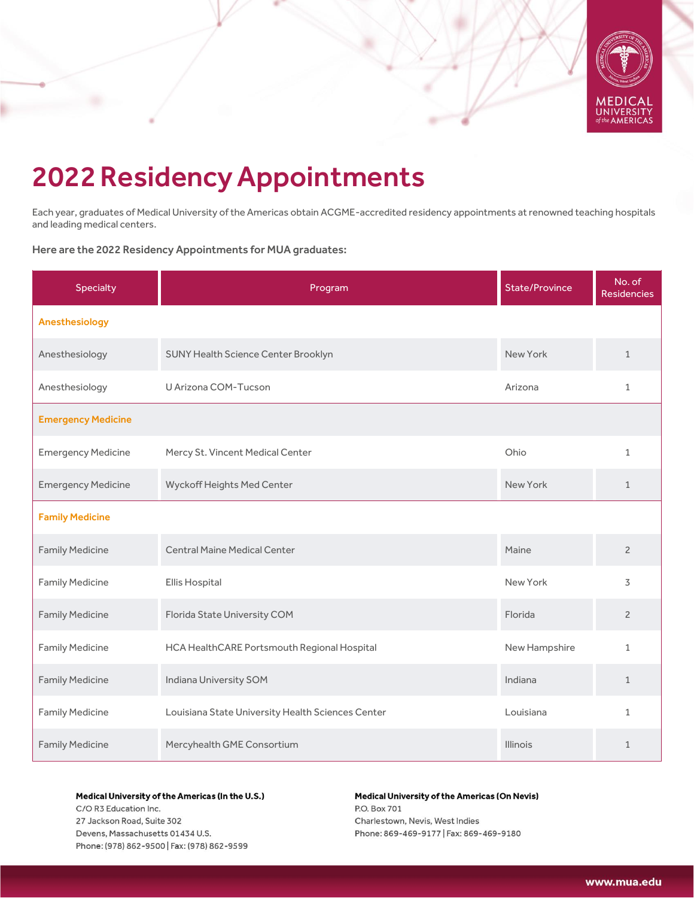

# 2022ResidencyAppointments

Each year, graduates of Medical University of the Americas obtain ACGME-accredited residency appointments at renowned teaching hospitals and leading medical centers.

Here are the 2022 Residency Appointments for MUA graduates:

| <b>Specialty</b>          | Program                                           | <b>State/Province</b> | No. of<br><b>Residencies</b> |
|---------------------------|---------------------------------------------------|-----------------------|------------------------------|
| Anesthesiology            |                                                   |                       |                              |
| Anesthesiology            | <b>SUNY Health Science Center Brooklyn</b>        | New York              | $\mathbf{1}$                 |
| Anesthesiology            | U Arizona COM-Tucson                              | Arizona               | $\mathbf{1}$                 |
| <b>Emergency Medicine</b> |                                                   |                       |                              |
| <b>Emergency Medicine</b> | Mercy St. Vincent Medical Center                  | Ohio                  | $\mathbf{1}$                 |
| <b>Emergency Medicine</b> | Wyckoff Heights Med Center                        | New York              | $\mathbf{1}$                 |
| <b>Family Medicine</b>    |                                                   |                       |                              |
| <b>Family Medicine</b>    | <b>Central Maine Medical Center</b>               | Maine                 | $\overline{c}$               |
| <b>Family Medicine</b>    | Ellis Hospital                                    | New York              | 3                            |
| <b>Family Medicine</b>    | Florida State University COM                      | Florida               | $\overline{2}$               |
| <b>Family Medicine</b>    | HCA HealthCARE Portsmouth Regional Hospital       | New Hampshire         | $\mathbf{1}$                 |
| <b>Family Medicine</b>    | Indiana University SOM                            | Indiana               | $\mathbf{1}$                 |
| <b>Family Medicine</b>    | Louisiana State University Health Sciences Center | Louisiana             | $\mathbf{1}$                 |
| <b>Family Medicine</b>    | Mercyhealth GME Consortium                        | Illinois              | $\mathbf{1}$                 |

## Medical University of the Americas (In the U.S.)

C/O R3 Education Inc. 27 Jackson Road, Suite 302 Devens, Massachusetts 01434 U.S. Phone: (978) 862-9500 | Fax: (978) 862-9599

## Medical University of the Americas (On Nevis) P.O. Box 701 Charlestown, Nevis, West Indies Phone: 869-469-9177 | Fax: 869-469-9180

www.mua.edu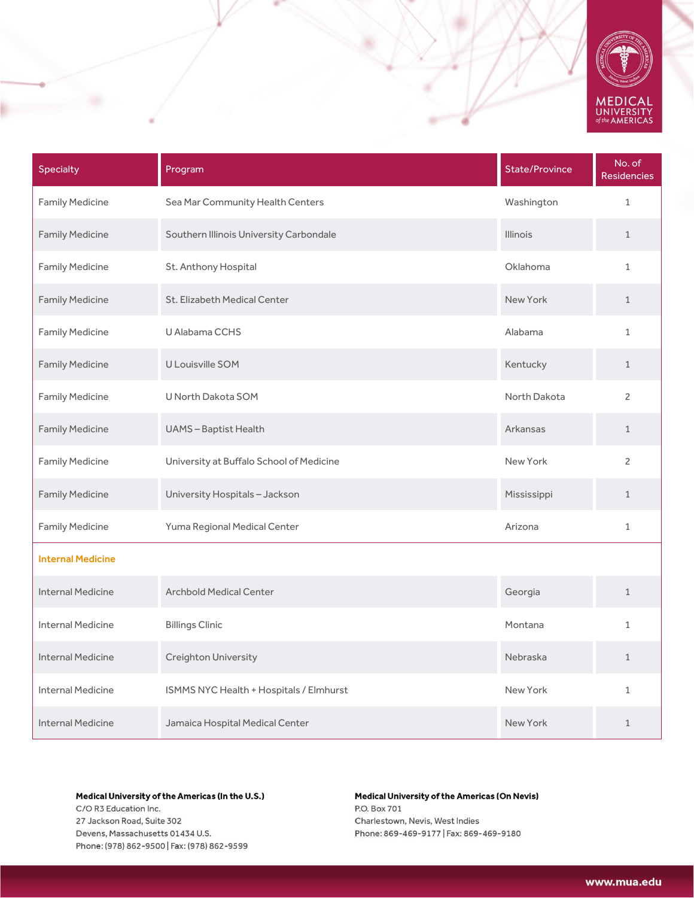

| Specialty                | Program                                  | <b>State/Province</b> | No. of<br><b>Residencies</b> |
|--------------------------|------------------------------------------|-----------------------|------------------------------|
| <b>Family Medicine</b>   | Sea Mar Community Health Centers         | Washington            | $\mathbf 1$                  |
| <b>Family Medicine</b>   | Southern Illinois University Carbondale  | <b>Illinois</b>       | $\mathbf{1}$                 |
| <b>Family Medicine</b>   | St. Anthony Hospital                     | Oklahoma              | $\mathbf{1}$                 |
| <b>Family Medicine</b>   | St. Elizabeth Medical Center             | New York              | $\mathbf{1}$                 |
| <b>Family Medicine</b>   | U Alabama CCHS                           | Alabama               | $\mathbf{1}$                 |
| <b>Family Medicine</b>   | U Louisville SOM                         | Kentucky              | $\mathbf{1}$                 |
| <b>Family Medicine</b>   | U North Dakota SOM                       | North Dakota          | $\overline{c}$               |
| <b>Family Medicine</b>   | <b>UAMS-Baptist Health</b>               | Arkansas              | $\mathbf{1}$                 |
| <b>Family Medicine</b>   | University at Buffalo School of Medicine | New York              | $\overline{c}$               |
| <b>Family Medicine</b>   | University Hospitals - Jackson           | Mississippi           | $\mathbf{1}$                 |
| <b>Family Medicine</b>   | Yuma Regional Medical Center             | Arizona               | $\mathbf{1}$                 |
| <b>Internal Medicine</b> |                                          |                       |                              |
| <b>Internal Medicine</b> | <b>Archbold Medical Center</b>           | Georgia               | $\mathbf{1}$                 |
| <b>Internal Medicine</b> | <b>Billings Clinic</b>                   | Montana               | 1                            |
| <b>Internal Medicine</b> | Creighton University                     | Nebraska              | $\mathbf 1$                  |
| <b>Internal Medicine</b> | ISMMS NYC Health + Hospitals / Elmhurst  | New York              | $\mathbf{1}$                 |
| <b>Internal Medicine</b> | Jamaica Hospital Medical Center          | New York              | $\mathbf{1}$                 |

C/O R3 Education Inc. 27 Jackson Road, Suite 302 Devens, Massachusetts 01434 U.S. Phone: (978) 862-9500 | Fax: (978) 862-9599

# **Medical University of the Americas (On Nevis)** P.O. Box 701 Charlestown, Nevis, West Indies Phone: 869-469-9177 | Fax: 869-469-9180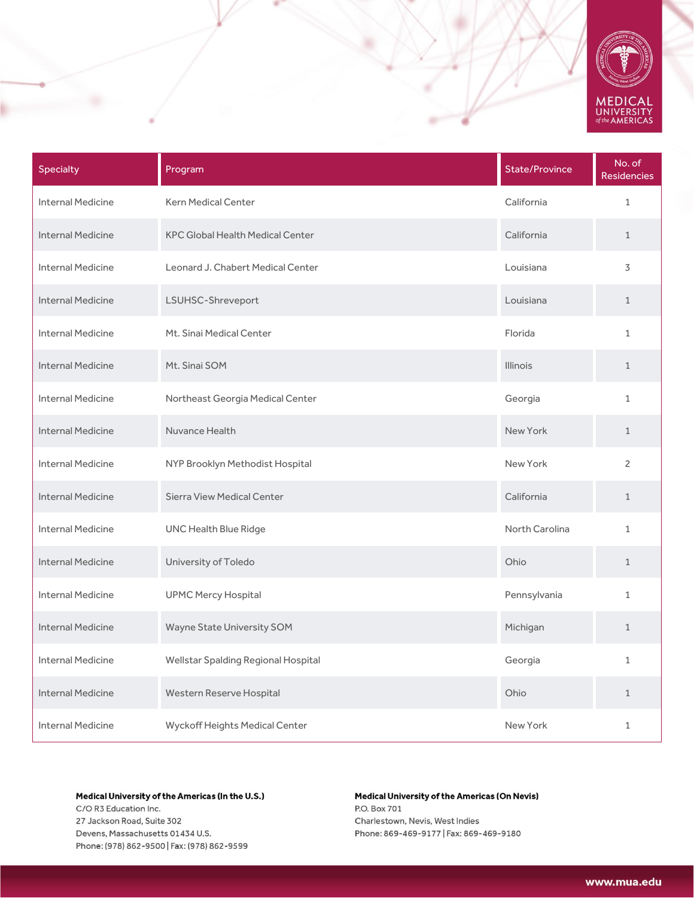

| <b>Specialty</b>         | Program                                 | <b>State/Province</b> | No. of<br><b>Residencies</b> |
|--------------------------|-----------------------------------------|-----------------------|------------------------------|
| <b>Internal Medicine</b> | <b>Kern Medical Center</b>              | California            | $\mathbf 1$                  |
| <b>Internal Medicine</b> | <b>KPC Global Health Medical Center</b> | California            | $\mathbf{1}$                 |
| <b>Internal Medicine</b> | Leonard J. Chabert Medical Center       | Louisiana             | 3                            |
| <b>Internal Medicine</b> | LSUHSC-Shreveport                       | Louisiana             | $\mathbf{1}$                 |
| <b>Internal Medicine</b> | Mt. Sinai Medical Center                | Florida               | $\mathbf{1}$                 |
| <b>Internal Medicine</b> | Mt. Sinai SOM                           | <b>Illinois</b>       | $\mathbf{1}$                 |
| <b>Internal Medicine</b> | Northeast Georgia Medical Center        | Georgia               | $\mathbf{1}$                 |
| <b>Internal Medicine</b> | Nuvance Health                          | New York              | $\mathbf{1}$                 |
| <b>Internal Medicine</b> | NYP Brooklyn Methodist Hospital         | New York              | $\overline{c}$               |
| <b>Internal Medicine</b> | <b>Sierra View Medical Center</b>       | California            | $\mathbf{1}$                 |
| <b>Internal Medicine</b> | <b>UNC Health Blue Ridge</b>            | North Carolina        | $\mathbf{1}$                 |
| <b>Internal Medicine</b> | University of Toledo                    | Ohio                  | $\mathbf{1}$                 |
| <b>Internal Medicine</b> | <b>UPMC Mercy Hospital</b>              | Pennsylvania          | $\mathbf{1}$                 |
| <b>Internal Medicine</b> | Wayne State University SOM              | Michigan              | $\mathbf{1}$                 |
| <b>Internal Medicine</b> | Wellstar Spalding Regional Hospital     | Georgia               | $\mathbf{1}$                 |
| <b>Internal Medicine</b> | Western Reserve Hospital                | Ohio                  | $\mathbf{1}$                 |
| <b>Internal Medicine</b> | Wyckoff Heights Medical Center          | New York              | 1                            |

C/O R3 Education Inc. 27 Jackson Road, Suite 302 Devens, Massachusetts 01434 U.S. Phone: (978) 862-9500 | Fax: (978) 862-9599

# **Medical University of the Americas (On Nevis)** P.O. Box 701 Charlestown, Nevis, West Indies Phone: 869-469-9177 | Fax: 869-469-9180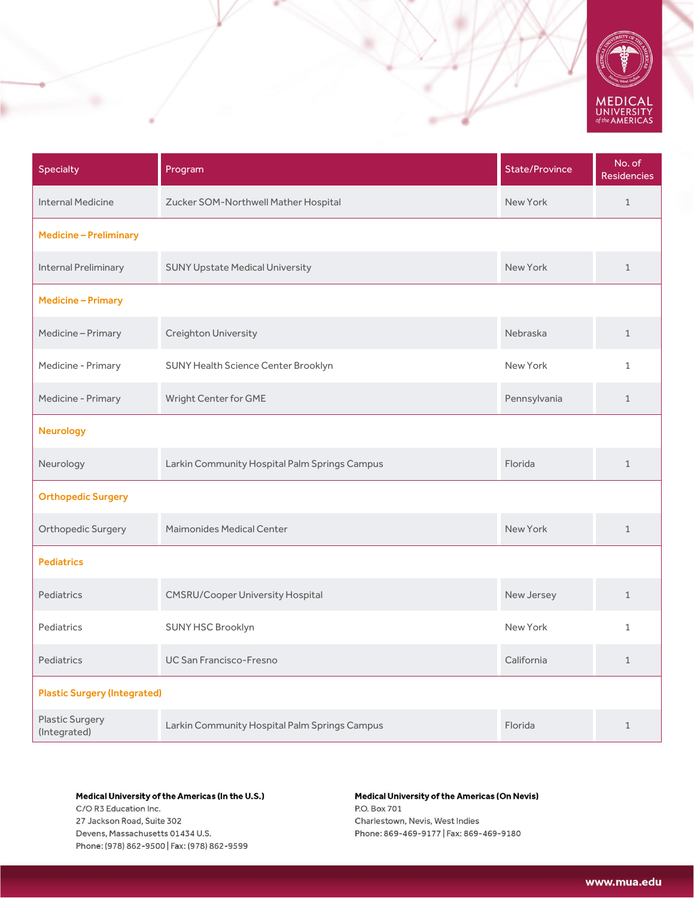

| Specialty                              | Program                                       | <b>State/Province</b> | No. of<br><b>Residencies</b> |
|----------------------------------------|-----------------------------------------------|-----------------------|------------------------------|
| <b>Internal Medicine</b>               | Zucker SOM-Northwell Mather Hospital          | New York              | $\mathbf{1}$                 |
| <b>Medicine - Preliminary</b>          |                                               |                       |                              |
| <b>Internal Preliminary</b>            | <b>SUNY Upstate Medical University</b>        | New York              | $\mathbf{1}$                 |
| <b>Medicine-Primary</b>                |                                               |                       |                              |
| Medicine-Primary                       | Creighton University                          | Nebraska              | $\mathbf{1}$                 |
| Medicine - Primary                     | SUNY Health Science Center Brooklyn           | New York              | $\mathbf{1}$                 |
| Medicine - Primary                     | Wright Center for GME                         | Pennsylvania          | $\mathbf{1}$                 |
| <b>Neurology</b>                       |                                               |                       |                              |
| Neurology                              | Larkin Community Hospital Palm Springs Campus | Florida               | $\mathbf{1}$                 |
| <b>Orthopedic Surgery</b>              |                                               |                       |                              |
| Orthopedic Surgery                     | <b>Maimonides Medical Center</b>              | New York              | $\mathbf{1}$                 |
| <b>Pediatrics</b>                      |                                               |                       |                              |
| Pediatrics                             | <b>CMSRU/Cooper University Hospital</b>       | New Jersey            | $\mathbf{1}$                 |
| Pediatrics                             | SUNY HSC Brooklyn                             | New York              | $\mathbf{1}$                 |
| Pediatrics                             | <b>UC San Francisco-Fresno</b>                | California            | $\mathbf{1}$                 |
| <b>Plastic Surgery (Integrated)</b>    |                                               |                       |                              |
| <b>Plastic Surgery</b><br>(Integrated) | Larkin Community Hospital Palm Springs Campus | Florida               | $\mathbf{1}$                 |

C/O R3 Education Inc. 27 Jackson Road, Suite 302 Devens, Massachusetts 01434 U.S. Phone: (978) 862-9500 | Fax: (978) 862-9599

# **Medical University of the Americas (On Nevis)** P.O. Box 701 Charlestown, Nevis, West Indies Phone: 869-469-9177 | Fax: 869-469-9180

www.mua.edu